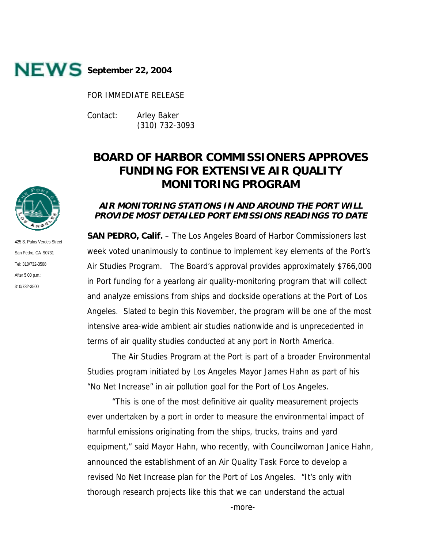

FOR IMMEDIATE RELEASE

Contact: Arley Baker (310) 732-3093

# **BOARD OF HARBOR COMMISSIONERS APPROVES FUNDING FOR EXTENSIVE AIR QUALITY MONITORING PROGRAM**

# **AIR MONITORING STATIONS IN AND AROUND THE PORT WILL PROVIDE MOST DETAILED PORT EMISSIONS READINGS TO DATE**

**SAN PEDRO, Calif.** – The Los Angeles Board of Harbor Commissioners last week voted unanimously to continue to implement key elements of the Port's Air Studies Program. The Board's approval provides approximately \$766,000 in Port funding for a yearlong air quality-monitoring program that will collect and analyze emissions from ships and dockside operations at the Port of Los Angeles. Slated to begin this November, the program will be one of the most intensive area-wide ambient air studies nationwide and is unprecedented in terms of air quality studies conducted at any port in North America.

The Air Studies Program at the Port is part of a broader Environmental Studies program initiated by Los Angeles Mayor James Hahn as part of his "No Net Increase" in air pollution goal for the Port of Los Angeles.

"This is one of the most definitive air quality measurement projects ever undertaken by a port in order to measure the environmental impact of harmful emissions originating from the ships, trucks, trains and yard equipment," said Mayor Hahn, who recently, with Councilwoman Janice Hahn, announced the establishment of an Air Quality Task Force to develop a revised No Net Increase plan for the Port of Los Angeles. "It's only with thorough research projects like this that we can understand the actual

425 S. Palos Verdes Street San Pedro, CA 90731 Tel: 310/732-3508 After 5:00 p.m.: 310/732-3500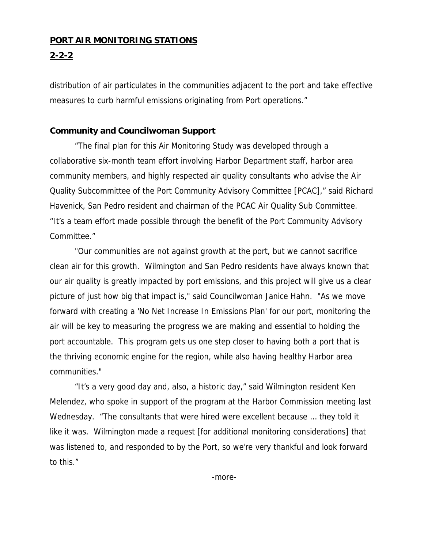### **PORT AIR MONITORING STATIONS**

## **2-2-2**

distribution of air particulates in the communities adjacent to the port and take effective measures to curb harmful emissions originating from Port operations."

#### **Community and Councilwoman Support**

"The final plan for this Air Monitoring Study was developed through a collaborative six-month team effort involving Harbor Department staff, harbor area community members, and highly respected air quality consultants who advise the Air Quality Subcommittee of the Port Community Advisory Committee [PCAC]," said Richard Havenick, San Pedro resident and chairman of the PCAC Air Quality Sub Committee. "It's a team effort made possible through the benefit of the Port Community Advisory Committee."

"Our communities are not against growth at the port, but we cannot sacrifice clean air for this growth. Wilmington and San Pedro residents have always known that our air quality is greatly impacted by port emissions, and this project will give us a clear picture of just how big that impact is," said Councilwoman Janice Hahn. "As we move forward with creating a 'No Net Increase In Emissions Plan' for our port, monitoring the air will be key to measuring the progress we are making and essential to holding the port accountable. This program gets us one step closer to having both a port that is the thriving economic engine for the region, while also having healthy Harbor area communities."

"It's a very good day and, also, a historic day," said Wilmington resident Ken Melendez, who spoke in support of the program at the Harbor Commission meeting last Wednesday. "The consultants that were hired were excellent because … they told it like it was. Wilmington made a request [for additional monitoring considerations] that was listened to, and responded to by the Port, so we're very thankful and look forward to this."

-more-